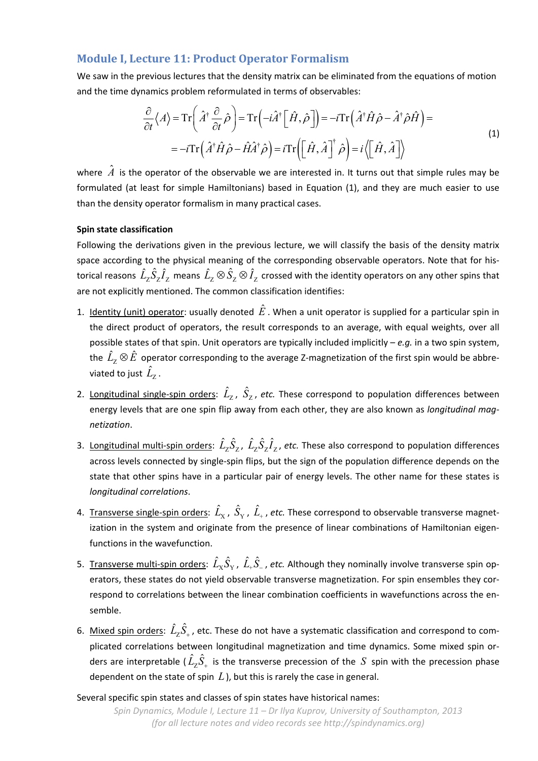## **Module I, Lecture 11: Product Operator Formalism**

We saw in the previous lectures that the density matrix can be eliminated from the equations of motion and the time dynamics problem reformulated in terms of observables:

$$
\frac{\partial}{\partial t} \langle A \rangle = \text{Tr} \left( \hat{A}^\dagger \frac{\partial}{\partial t} \hat{\rho} \right) = \text{Tr} \left( -i \hat{A}^\dagger \left[ \hat{H}, \hat{\rho} \right] \right) = -i \text{Tr} \left( \hat{A}^\dagger \hat{H} \hat{\rho} - \hat{A}^\dagger \hat{\rho} \hat{H} \right) = \n= -i \text{Tr} \left( \hat{A}^\dagger \hat{H} \hat{\rho} - \hat{H} \hat{A}^\dagger \hat{\rho} \right) = i \text{Tr} \left( \left[ \hat{H}, \hat{A} \right]^\dagger \hat{\rho} \right) = i \left\langle \left[ \hat{H}, \hat{A} \right] \right\rangle
$$
\n(1)

where  $\hat{A}$  is the operator of the observable we are interested in. It turns out that simple rules may be formulated (at least for simple Hamiltonians) based in Equation (1), and they are much easier to use than the density operator formalism in many practical cases.

## **Spin state classification**

Following the derivations given in the previous lecture, we will classify the basis of the density matrix space according to the physical meaning of the corresponding observable operators. Note that for historical reasons  $\hat{L}_z \hat{S}_z \hat{I}_z$  means  $\hat{L}_z \otimes \hat{S}_z \otimes \hat{I}_z$  crossed with the identity operators on any other spins that are not explicitly mentioned. The common classification identifies:

- 1. Identity (unit) operator: usually denoted  $\hat{E}$  . When a unit operator is supplied for a particular spin in the direct product of operators, the result corresponds to an average, with equal weights, over all possible states of that spin. Unit operators are typically included implicitly – *e.g.* in a two spin system, the  $\hat{L}_z \otimes \hat{E}$  operator corresponding to the average Z-magnetization of the first spin would be abbreviated to just  $\hat{L}_7$ .
- 2. Longitudinal single-spin orders:  $\hat{L}_{\text{Z}}$ ,  $\hat{S}_{\text{Z}}$ , etc. These correspond to population differences between energy levels that are one spin flip away from each other, they are also known as *longitudinal mag‐ netization*.
- 3. Longitudinal multi-spin orders:  $\hat{L}_7 \hat{S}_7$ ,  $\hat{L}_7 \hat{S}_7 \hat{I}_7$ , etc. These also correspond to population differences across levels connected by single‐spin flips, but the sign of the population difference depends on the state that other spins have in a particular pair of energy levels. The other name for these states is *longitudinal correlations*.
- 4. Transverse single-spin orders:  $\hat{L}_{\rm X}$ ,  $\hat{S}_{\rm Y}$ ,  $\hat{L}_*$ , etc. These correspond to observable transverse magnetization in the system and originate from the presence of linear combinations of Hamiltonian eigenfunctions in the wavefunction.
- 5. Transverse multi-spin orders:  $\hat{L}_X\hat{S}_Y$ ,  $\hat{L}_+\hat{S}_-$ , etc. Although they nominally involve transverse spin operators, these states do not yield observable transverse magnetization. For spin ensembles they correspond to correlations between the linear combination coefficients in wavefunctions across the en‐ semble.
- 6. Mixed spin orders:  $\hat{L}_Z \hat{S}_+$ , etc. These do not have a systematic classification and correspond to complicated correlations between longitudinal magnetization and time dynamics. Some mixed spin or‐ ders are interpretable (  $\hat{L}_\text{Z} \hat{S}_+$  is the transverse precession of the  $\,S\,$  spin with the precession phase dependent on the state of spin *L*), but this is rarely the case in general.

Several specific spin states and classes of spin states have historical names: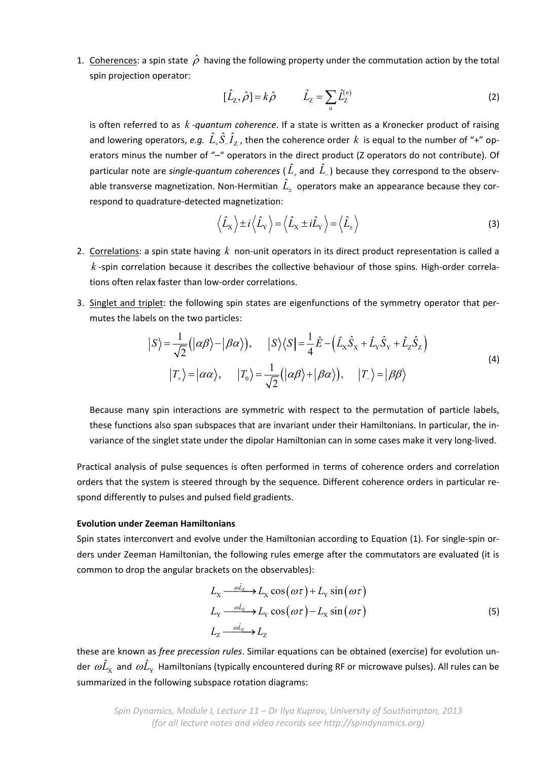1. Coherences: a spin state  $\hat{\rho}$  having the following property under the commutation action by the total spin projection operator:

$$
[\hat{L}_z, \hat{\rho}] = k\hat{\rho} \qquad \hat{L}_z = \sum_n \hat{L}_z^{(n)} \tag{2}
$$

is often referred to as *k ‐quantum coherence*. If a state is written as a Kronecker product of raising and lowering operators, *e.g.*  $\hat{L}_r \hat{S}_r \hat{I}_z$ , then the coherence order k is equal to the number of "+" operators minus the number of "-" operators in the direct product (Z operators do not contribute). Of particular note are *single-quantum coherences* (  $\hat{L}_{_+}$  and  $\hat{L}_{_-}$  ) because they correspond to the observable transverse magnetization. Non-Hermitian  $\hat{L}_{\pm}$  operators make an appearance because they correspond to quadrature‐detected magnetization:

$$
\left\langle \hat{L}_{\rm x} \right\rangle \pm i \left\langle \hat{L}_{\rm y} \right\rangle = \left\langle \hat{L}_{\rm x} \pm i \hat{L}_{\rm y} \right\rangle = \left\langle \hat{L}_{\pm} \right\rangle \tag{3}
$$

- 2. Correlations: a spin state having k non-unit operators in its direct product representation is called a *k* ‐spin correlation because it describes the collective behaviour of those spins. High‐order correla‐ tions often relax faster than low‐order correlations.
- 3. Singlet and triplet: the following spin states are eigenfunctions of the symmetry operator that per‐ mutes the labels on the two particles:

$$
|S\rangle = \frac{1}{\sqrt{2}} (|\alpha\beta\rangle - |\beta\alpha\rangle), \qquad |S\rangle\langle S| = \frac{1}{4} \hat{E} - (\hat{L}_X \hat{S}_X + \hat{L}_Y \hat{S}_Y + \hat{L}_Z \hat{S}_Z)
$$
  

$$
|T_+\rangle = |\alpha\alpha\rangle, \qquad |T_0\rangle = \frac{1}{\sqrt{2}} (|\alpha\beta\rangle + |\beta\alpha\rangle), \qquad |T_-\rangle = |\beta\beta\rangle
$$
 (4)

Because many spin interactions are symmetric with respect to the permutation of particle labels, these functions also span subspaces that are invariant under their Hamiltonians. In particular, the in‐ variance of the singlet state under the dipolar Hamiltonian can in some cases make it very long‐lived.

Practical analysis of pulse sequences is often performed in terms of coherence orders and correlation orders that the system is steered through by the sequence. Different coherence orders in particular re‐ spond differently to pulses and pulsed field gradients.

## **Evolution under Zeeman Hamiltonians**

Spin states interconvert and evolve under the Hamiltonian according to Equation (1). For single-spin orders under Zeeman Hamiltonian, the following rules emerge after the commutators are evaluated (it is common to drop the angular brackets on the observables):

$$
L_{\rm X} \xrightarrow{\partial L_{\rm Z}} L_{\rm X} \cos(\omega \tau) + L_{\rm Y} \sin(\omega \tau)
$$
  
\n
$$
L_{\rm Y} \xrightarrow{\partial L_{\rm Z}} L_{\rm Y} \cos(\omega \tau) - L_{\rm X} \sin(\omega \tau)
$$
  
\n
$$
L_{\rm Z} \xrightarrow{\partial L_{\rm Z}} L_{\rm Z}
$$
\n(5)

these are known as *free precession rules*. Similar equations can be obtained (exercise) for evolution un‐ der  $\omega L_x$  and  $\omega L_y$  Hamiltonians (typically encountered during RF or microwave pulses). All rules can be summarized in the following subspace rotation diagrams: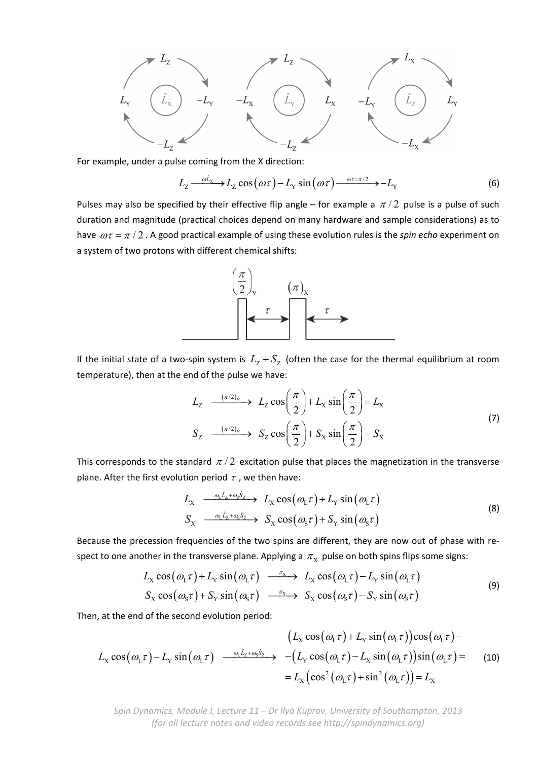

For example, under a pulse coming from the X direction:

$$
L_{Z} \xrightarrow{\omega \hat{L}_{X}} L_{Z} \cos(\omega \tau) - L_{Y} \sin(\omega \tau) \xrightarrow{\omega \tau = \pi/2} - L_{Y}
$$
(6)

Pulses may also be specified by their effective flip angle – for example a  $\pi/2$  pulse is a pulse of such duration and magnitude (practical choices depend on many hardware and sample considerations) as to have  $\omega \tau = \pi / 2$ . A good practical example of using these evolution rules is the *spin echo* experiment on a system of two protons with different chemical shifts:



If the initial state of a two-spin system is  $L_z + S_z$  (often the case for the thermal equilibrium at room temperature), then at the end of the pulse we have:

$$
L_{Z} \xrightarrow{(\pi/2)_{Y}} L_{Z} \cos\left(\frac{\pi}{2}\right) + L_{X} \sin\left(\frac{\pi}{2}\right) = L_{X}
$$
  
\n
$$
S_{Z} \xrightarrow{(\pi/2)_{Y}} S_{Z} \cos\left(\frac{\pi}{2}\right) + S_{X} \sin\left(\frac{\pi}{2}\right) = S_{X}
$$
\n(7)

This corresponds to the standard  $\pi/2$  excitation pulse that places the magnetization in the transverse plane. After the first evolution period  $\tau$ , we then have:

$$
L_{\rm X} \xrightarrow{\omega_{\rm L} \hat{L}_{\rm Z} + \omega_{\rm S} \hat{S}_{\rm Z}} L_{\rm X} \cos(\omega_{\rm L} \tau) + L_{\rm Y} \sin(\omega_{\rm L} \tau)
$$
  
\n
$$
S_{\rm X} \xrightarrow{\omega_{\rm L} \hat{L}_{\rm Z} + \omega_{\rm S} \hat{S}_{\rm Z}} S_{\rm X} \cos(\omega_{\rm S} \tau) + S_{\rm Y} \sin(\omega_{\rm S} \tau)
$$
\n(8)

Because the precession frequencies of the two spins are different, they are now out of phase with respect to one another in the transverse plane. Applying a  $\pi_{\rm X}$  pulse on both spins flips some signs:

$$
L_{\rm X} \cos(\omega_{\rm L} \tau) + L_{\rm Y} \sin(\omega_{\rm L} \tau) \xrightarrow{\pi_{\rm X}} L_{\rm X} \cos(\omega_{\rm L} \tau) - L_{\rm Y} \sin(\omega_{\rm L} \tau)
$$
  
\n
$$
S_{\rm X} \cos(\omega_{\rm S} \tau) + S_{\rm Y} \sin(\omega_{\rm S} \tau) \xrightarrow{\pi_{\rm X}} S_{\rm X} \cos(\omega_{\rm S} \tau) - S_{\rm Y} \sin(\omega_{\rm S} \tau)
$$
\n(9)

Then, at the end of the second evolution period:

$$
(L_{\rm X}\cos(\omega_{\rm L}\tau) + L_{\rm Y}\sin(\omega_{\rm L}\tau))\cos(\omega_{\rm L}\tau) - L_{\rm Y}\cos(\omega_{\rm L}\tau) - L_{\rm Y}\sin(\omega_{\rm L}\tau) \underbrace{\omega_{\rm L}\hat{L}_{z} + \omega_{\rm S}\hat{S}_{z}}_{=L_{\rm X}} - (L_{\rm Y}\cos(\omega_{\rm L}\tau) - L_{\rm X}\sin(\omega_{\rm L}\tau))\sin(\omega_{\rm L}\tau) = L_{\rm X}(\cos^{2}(\omega_{\rm L}\tau) + \sin^{2}(\omega_{\rm L}\tau)) = L_{\rm X}
$$
\n(10)

*Spin Dynamics, Module I, Lecture 11 – Dr Ilya Kuprov, University of Southampton, 2013 (for all lecture notes and video records see http://spindynamics.org)*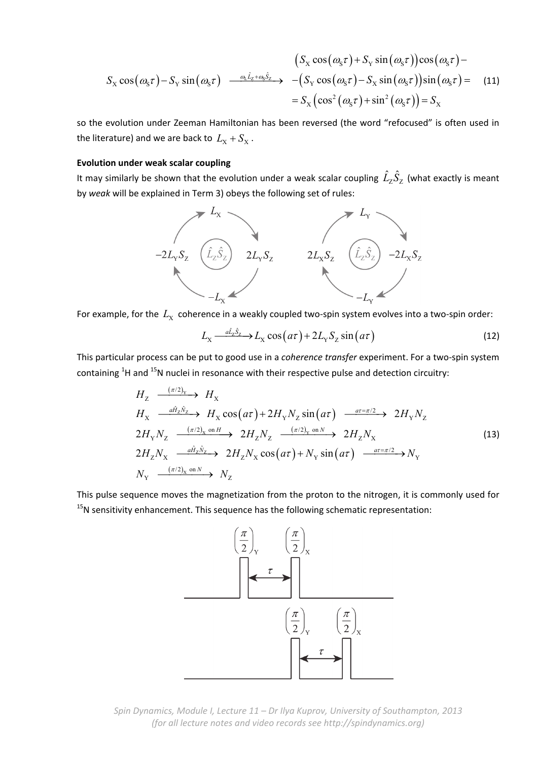$$
(S_x \cos(\omega_s \tau) + S_y \sin(\omega_s \tau))\cos(\omega_s \tau) -
$$
  

$$
S_x \cos(\omega_s \tau) - S_y \sin(\omega_s \tau) \xrightarrow{\omega_L \hat{L}_z + \omega_S \hat{S}_z} - (S_y \cos(\omega_s \tau) - S_x \sin(\omega_s \tau))\sin(\omega_s \tau) =
$$
 (11)  

$$
= S_x (\cos^2(\omega_s \tau) + \sin^2(\omega_s \tau)) = S_x
$$

so the evolution under Zeeman Hamiltonian has been reversed (the word "refocused" is often used in the literature) and we are back to  $L_X + S_X$ .

## **Evolution under weak scalar coupling**

It may similarly be shown that the evolution under a weak scalar coupling  $\hat{L}_\text{Z} \hat{S}_\text{Z}$  (what exactly is meant by *weak* will be explained in Term 3) obeys the following set of rules:



For example, for the  $L_X$  coherence in a weakly coupled two-spin system evolves into a two-spin order:

$$
L_{\rm X} \xrightarrow{a\hat{L}_{\rm Z}\hat{S}_{\rm Z}} L_{\rm X} \cos(a\tau) + 2L_{\rm Y} S_{\rm Z} \sin(a\tau) \tag{12}
$$

This particular process can be put to good use in a *coherence transfer* experiment. For a two‐spin system containing  ${}^{1}$ H and  ${}^{15}$ N nuclei in resonance with their respective pulse and detection circuitry:

$$
H_{Z} \xrightarrow{(\pi/2)_{Y}} H_{X}
$$
\n
$$
H_{X} \xrightarrow{a\hat{H}_{Z}\hat{N}_{Z}} H_{X} \cos(a\tau) + 2H_{Y}N_{Z} \sin(a\tau) \xrightarrow{a\tau = \pi/2} 2H_{Y}N_{Z}
$$
\n
$$
2H_{Y}N_{Z} \xrightarrow{(\pi/2)_{X} \text{ on } H} 2H_{Z}N_{Z} \xrightarrow{(\pi/2)_{Y} \text{ on } N} 2H_{Z}N_{X}
$$
\n
$$
2H_{Z}N_{X} \xrightarrow{a\hat{H}_{Z}\hat{N}_{Z}} 2H_{Z}N_{X} \cos(a\tau) + N_{Y} \sin(a\tau) \xrightarrow{a\tau = \pi/2} N_{Y}
$$
\n
$$
N_{Y} \xrightarrow{(\pi/2)_{X} \text{ on } N} N_{Z} \xrightarrow{(13)}
$$
\n
$$
(13)
$$

This pulse sequence moves the magnetization from the proton to the nitrogen, it is commonly used for  $15N$  sensitivity enhancement. This sequence has the following schematic representation:



*Spin Dynamics, Module I, Lecture 11 – Dr Ilya Kuprov, University of Southampton, 2013 (for all lecture notes and video records see http://spindynamics.org)*